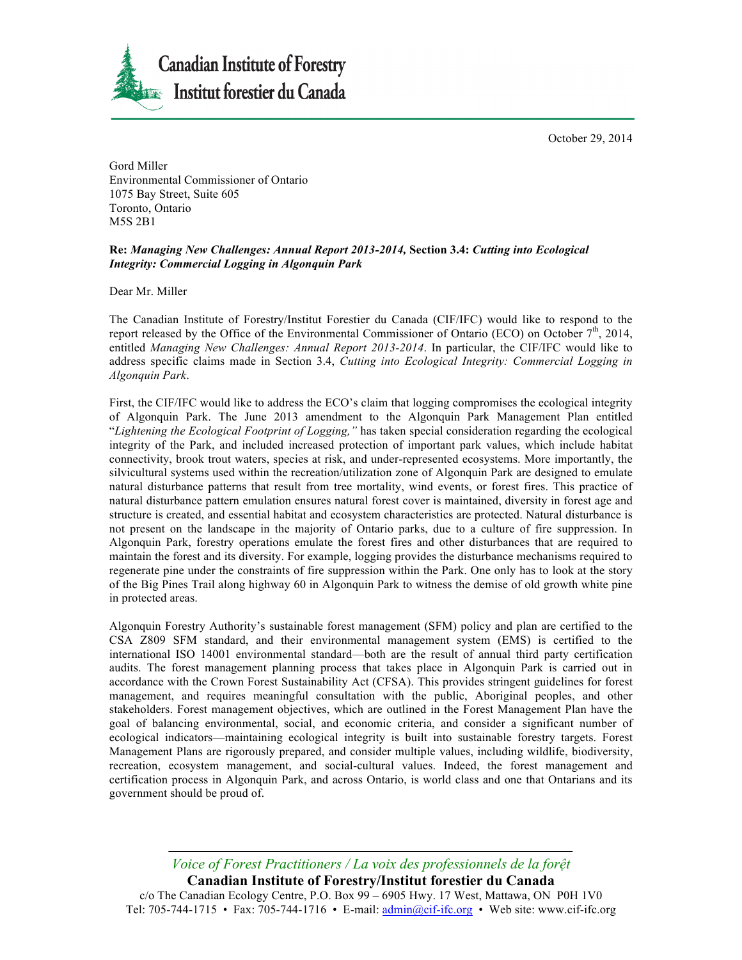October 29, 2014



Gord Miller Environmental Commissioner of Ontario 1075 Bay Street, Suite 605 Toronto, Ontario M5S 2B1

## **Re:** *Managing New Challenges: Annual Report 2013-2014,* **Section 3.4:** *Cutting into Ecological Integrity: Commercial Logging in Algonquin Park*

Dear Mr. Miller

The Canadian Institute of Forestry/Institut Forestier du Canada (CIF/IFC) would like to respond to the report released by the Office of the Environmental Commissioner of Ontario (ECO) on October 7<sup>th</sup>, 2014, entitled *Managing New Challenges: Annual Report 2013-2014*. In particular, the CIF/IFC would like to address specific claims made in Section 3.4, *Cutting into Ecological Integrity: Commercial Logging in Algonquin Park*.

First, the CIF/IFC would like to address the ECO's claim that logging compromises the ecological integrity of Algonquin Park. The June 2013 amendment to the Algonquin Park Management Plan entitled "*Lightening the Ecological Footprint of Logging,"* has taken special consideration regarding the ecological integrity of the Park, and included increased protection of important park values, which include habitat connectivity, brook trout waters, species at risk, and under-represented ecosystems. More importantly, the silvicultural systems used within the recreation/utilization zone of Algonquin Park are designed to emulate natural disturbance patterns that result from tree mortality, wind events, or forest fires. This practice of natural disturbance pattern emulation ensures natural forest cover is maintained, diversity in forest age and structure is created, and essential habitat and ecosystem characteristics are protected. Natural disturbance is not present on the landscape in the majority of Ontario parks, due to a culture of fire suppression. In Algonquin Park, forestry operations emulate the forest fires and other disturbances that are required to maintain the forest and its diversity. For example, logging provides the disturbance mechanisms required to regenerate pine under the constraints of fire suppression within the Park. One only has to look at the story of the Big Pines Trail along highway 60 in Algonquin Park to witness the demise of old growth white pine in protected areas.

Algonquin Forestry Authority's sustainable forest management (SFM) policy and plan are certified to the CSA Z809 SFM standard, and their environmental management system (EMS) is certified to the international ISO 14001 environmental standard—both are the result of annual third party certification audits. The forest management planning process that takes place in Algonquin Park is carried out in accordance with the Crown Forest Sustainability Act (CFSA). This provides stringent guidelines for forest management, and requires meaningful consultation with the public, Aboriginal peoples, and other stakeholders. Forest management objectives, which are outlined in the Forest Management Plan have the goal of balancing environmental, social, and economic criteria, and consider a significant number of ecological indicators—maintaining ecological integrity is built into sustainable forestry targets. Forest Management Plans are rigorously prepared, and consider multiple values, including wildlife, biodiversity, recreation, ecosystem management, and social-cultural values. Indeed, the forest management and certification process in Algonquin Park, and across Ontario, is world class and one that Ontarians and its government should be proud of.

*Voice of Forest Practitioners / La voix des professionnels de la forệt* **Canadian Institute of Forestry/Institut forestier du Canada** c/o The Canadian Ecology Centre, P.O. Box 99 – 6905 Hwy. 17 West, Mattawa, ON P0H 1V0 Tel: 705-744-1715 • Fax: 705-744-1716 • E-mail:  $\underline{admin@cif-ific.org}$  • Web site: www.cif-ifc.org